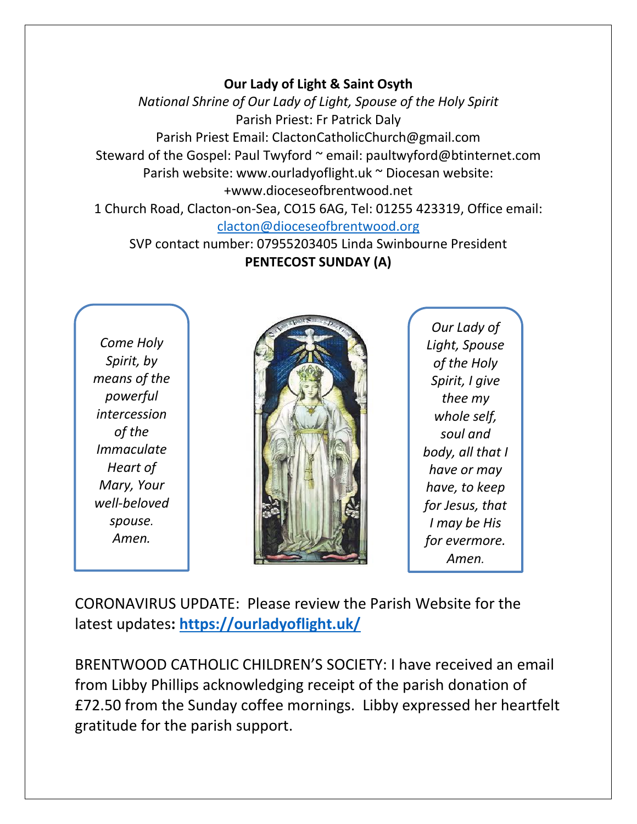### **Our Lady of Light & Saint Osyth**

*National Shrine of Our Lady of Light, Spouse of the Holy Spirit* Parish Priest: Fr Patrick Daly Parish Priest Email: ClactonCatholicChurch@gmail.com Steward of the Gospel: Paul Twyford ~ email: paultwyford@btinternet.com Parish website: www.ourladyoflight.uk ~ Diocesan website: +www.dioceseofbrentwood.net 1 Church Road, Clacton-on-Sea, CO15 6AG, Tel: 01255 423319, Office email:

#### [clacton@dioceseofbrentwood.org](mailto:clacton@dioceseofbrentwood.org)

SVP contact number: 07955203405 Linda Swinbourne President **PENTECOST SUNDAY (A)**

*Come Holy Spirit, by means of the powerful intercession of the Immaculate Heart of Mary, Your well-beloved spouse. Amen.*



*Our Lady of Light, Spouse of the Holy Spirit, I give thee my whole self, soul and body, all that I have or may have, to keep for Jesus, that I may be His for evermore. Amen.*

CORONAVIRUS UPDATE: Please review the Parish Website for the latest updates**:<https://ourladyoflight.uk/>**

BRENTWOOD CATHOLIC CHILDREN'S SOCIETY: I have received an email from Libby Phillips acknowledging receipt of the parish donation of £72.50 from the Sunday coffee mornings. Libby expressed her heartfelt gratitude for the parish support.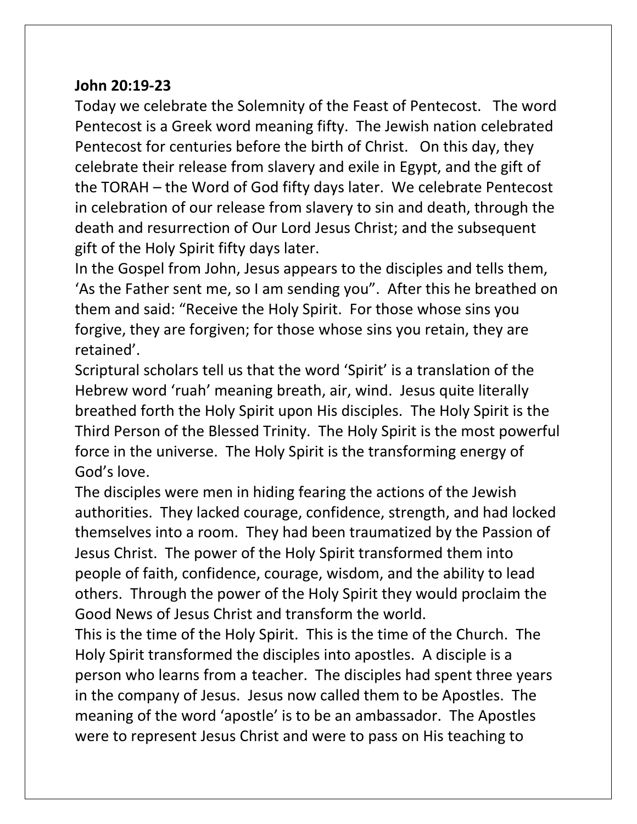## **John 20:19-23**

Today we celebrate the Solemnity of the Feast of Pentecost. The word Pentecost is a Greek word meaning fifty. The Jewish nation celebrated Pentecost for centuries before the birth of Christ. On this day, they celebrate their release from slavery and exile in Egypt, and the gift of the TORAH – the Word of God fifty days later. We celebrate Pentecost in celebration of our release from slavery to sin and death, through the death and resurrection of Our Lord Jesus Christ; and the subsequent gift of the Holy Spirit fifty days later.

In the Gospel from John, Jesus appears to the disciples and tells them, 'As the Father sent me, so I am sending you". After this he breathed on them and said: "Receive the Holy Spirit. For those whose sins you forgive, they are forgiven; for those whose sins you retain, they are retained'.

Scriptural scholars tell us that the word 'Spirit' is a translation of the Hebrew word 'ruah' meaning breath, air, wind. Jesus quite literally breathed forth the Holy Spirit upon His disciples. The Holy Spirit is the Third Person of the Blessed Trinity. The Holy Spirit is the most powerful force in the universe. The Holy Spirit is the transforming energy of God's love.

The disciples were men in hiding fearing the actions of the Jewish authorities. They lacked courage, confidence, strength, and had locked themselves into a room. They had been traumatized by the Passion of Jesus Christ. The power of the Holy Spirit transformed them into people of faith, confidence, courage, wisdom, and the ability to lead others. Through the power of the Holy Spirit they would proclaim the Good News of Jesus Christ and transform the world.

This is the time of the Holy Spirit. This is the time of the Church. The Holy Spirit transformed the disciples into apostles. A disciple is a person who learns from a teacher. The disciples had spent three years in the company of Jesus. Jesus now called them to be Apostles. The meaning of the word 'apostle' is to be an ambassador. The Apostles were to represent Jesus Christ and were to pass on His teaching to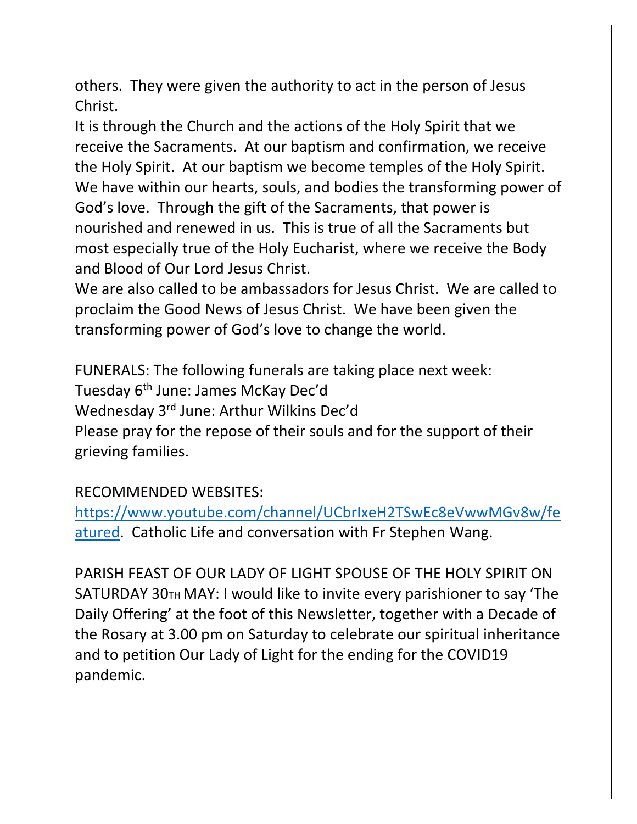others. They were given the authority to act in the person of Jesus Christ.

It is through the Church and the actions of the Holy Spirit that we receive the Sacraments. At our baptism and confirmation, we receive the Holy Spirit. At our baptism we become temples of the Holy Spirit. We have within our hearts, souls, and bodies the transforming power of God's love. Through the gift of the Sacraments, that power is nourished and renewed in us. This is true of all the Sacraments but most especially true of the Holy Eucharist, where we receive the Body and Blood of Our Lord Jesus Christ.

We are also called to be ambassadors for Jesus Christ. We are called to proclaim the Good News of Jesus Christ. We have been given the transforming power of God's love to change the world.

FUNERALS: The following funerals are taking place next week: Tuesday 6th June: James McKay Dec'd Wednesday 3rd June: Arthur Wilkins Dec'd Please pray for the repose of their souls and for the support of their grieving families.

## RECOMMENDED WEBSITES:

[https://www.youtube.com/channel/UCbrIxeH2TSwEc8eVwwMGv8w/fe](https://www.youtube.com/channel/UCbrIxeH2TSwEc8eVwwMGv8w/featured) [atured.](https://www.youtube.com/channel/UCbrIxeH2TSwEc8eVwwMGv8w/featured) Catholic Life and conversation with Fr Stephen Wang.

PARISH FEAST OF OUR LADY OF LIGHT SPOUSE OF THE HOLY SPIRIT ON SATURDAY 30TH MAY: I would like to invite every parishioner to say 'The Daily Offering' at the foot of this Newsletter, together with a Decade of the Rosary at 3.00 pm on Saturday to celebrate our spiritual inheritance and to petition Our Lady of Light for the ending for the COVID19 pandemic.